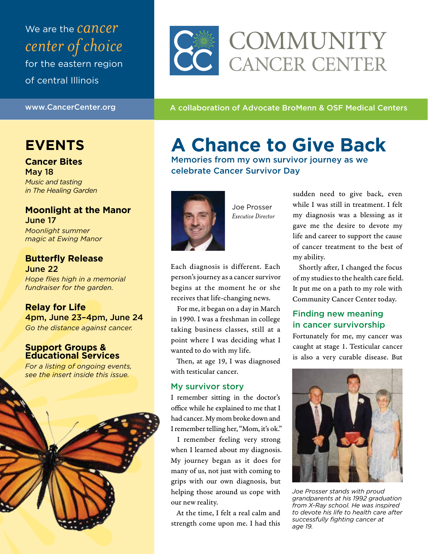We are the *cancer center of choice* for the eastern region of central Illinois

www.CancerCenter.org **A collaboration of Advocate BroMenn & OSF Medical Centers** 

CE COMMUNITY

## **EVENTS**

**Cancer Bites**  May 18 *Music and tasting in The Healing Garden*

#### **Moonlight at the Manor**  June 17

*Moonlight summer magic at Ewing Manor* 

#### **Butterfly Release** June 22

*Hope flies high in a memorial fundraiser for the garden.*



#### **Support Groups & Educational Services**

*For a listing of ongoing events, see the insert inside this issue.* 



# **A Chance to Give Back**

Memories from my own survivor journey as we celebrate Cancer Survivor Day



Joe Prosser *Executive Director*

Each diagnosis is different. Each person's journey as a cancer survivor begins at the moment he or she receives that life-changing news.

For me, it began on a day in March in 1990. I was a freshman in college taking business classes, still at a point where I was deciding what I wanted to do with my life.

Then, at age 19, I was diagnosed with testicular cancer.

#### My survivor story

I remember sitting in the doctor's office while he explained to me that I had cancer. My mom broke down and I remember telling her, "Mom, it's ok."

I remember feeling very strong when I learned about my diagnosis. My journey began as it does for many of us, not just with coming to grips with our own diagnosis, but helping those around us cope with our new reality.

At the time, I felt a real calm and strength come upon me. I had this sudden need to give back, even while I was still in treatment. I felt my diagnosis was a blessing as it gave me the desire to devote my life and career to support the cause of cancer treatment to the best of my ability.

Shortly after, I changed the focus of my studies to the health care field. It put me on a path to my role with Community Cancer Center today.

#### Finding new meaning in cancer survivorship

Fortunately for me, my cancer was caught at stage 1. Testicular cancer is also a very curable disease. But



*Joe Prosser stands with proud grandparents at his 1992 graduation from X-Ray school. He was inspired to devote his life to health care after successfully fighting cancer at age 19.*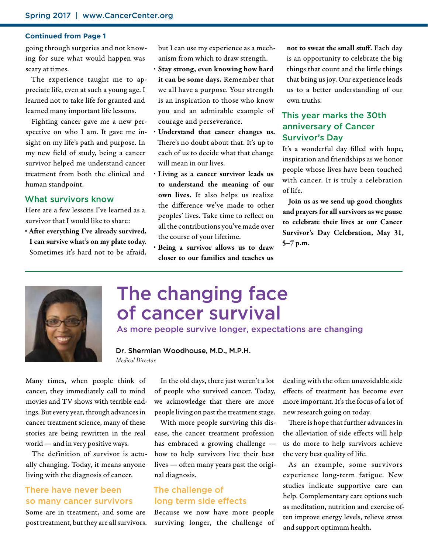#### **Continued from Page 1**

going through surgeries and not knowing for sure what would happen was scary at times.

The experience taught me to appreciate life, even at such a young age. I learned not to take life for granted and learned many important life lessons.

Fighting cancer gave me a new perspective on who I am. It gave me insight on my life's path and purpose. In my new field of study, being a cancer survivor helped me understand cancer treatment from both the clinical and human standpoint.

#### What survivors know

Here are a few lessons I've learned as a survivor that I would like to share:

§ After everything I've already survived, I can survive what's on my plate today. Sometimes it's hard not to be afraid, but I can use my experience as a mechanism from which to draw strength.

- § Stay strong, even knowing how hard it can be some days. Remember that we all have a purpose. Your strength is an inspiration to those who know you and an admirable example of courage and perseverance.
- Understand that cancer changes us. There's no doubt about that. It's up to each of us to decide what that change will mean in our lives.
- § Living as a cancer survivor leads us to understand the meaning of our own lives. It also helps us realize the difference we've made to other peoples' lives. Take time to reflect on all the contributions you've made over the course of your lifetime.
- § Being a survivor allows us to draw closer to our families and teaches us

not to sweat the small stuff. Each day is an opportunity to celebrate the big things that count and the little things that bring us joy. Our experience leads us to a better understanding of our own truths.

#### This year marks the 30th anniversary of Cancer Survivor's Day

It's a wonderful day filled with hope, inspiration and friendships as we honor people whose lives have been touched with cancer. It is truly a celebration of life.

Join us as we send up good thoughts and prayers for all survivors as we pause to celebrate their lives at our Cancer Survivor's Day Celebration, May 31, 5–7 p.m.



## The changing face of cancer survival

As more people survive longer, expectations are changing

Dr. Shermian Woodhouse, M.D., M.P.H. *Medical Director*

Many times, when people think of cancer, they immediately call to mind movies and TV shows with terrible endings. But every year, through advances in cancer treatment science, many of these stories are being rewritten in the real world — and in very positive ways.

The definition of survivor is actually changing. Today, it means anyone living with the diagnosis of cancer.

#### There have never been so many cancer survivors

Some are in treatment, and some are post treatment, but they are all survivors.

In the old days, there just weren't a lot of people who survived cancer. Today, we acknowledge that there are more people living on past the treatment stage.

With more people surviving this disease, the cancer treatment profession has embraced a growing challenge how to help survivors live their best lives — often many years past the original diagnosis.

#### The challenge of long term side effects

Because we now have more people surviving longer, the challenge of

dealing with the often unavoidable side effects of treatment has become ever more important. It's the focus of a lot of new research going on today.

There is hope that further advances in the alleviation of side effects will help us do more to help survivors achieve the very best quality of life.

As an example, some survivors experience long-term fatigue. New studies indicate supportive care can help. Complementary care options such as meditation, nutrition and exercise often improve energy levels, relieve stress and support optimum health.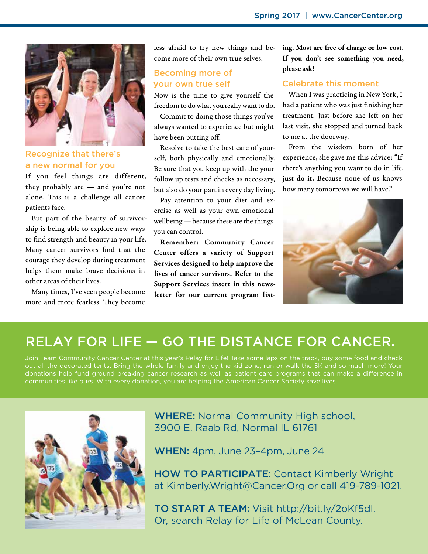

#### Recognize that there's a new normal for you

If you feel things are different, they probably are — and you're not alone. This is a challenge all cancer patients face.

But part of the beauty of survivorship is being able to explore new ways to find strength and beauty in your life. Many cancer survivors find that the courage they develop during treatment helps them make brave decisions in other areas of their lives.

Many times, I've seen people become more and more fearless. They become less afraid to try new things and become more of their own true selves.

#### Becoming more of your own true self

Now is the time to give yourself the freedom to do what you really want to do.

Commit to doing those things you've always wanted to experience but might have been putting off.

Resolve to take the best care of yourself, both physically and emotionally. Be sure that you keep up with the your follow up tests and checks as necessary, but also do your part in every day living.

Pay attention to your diet and exercise as well as your own emotional wellbeing — because these are the things you can control.

Remember: Community Cancer Center offers a variety of Support Services designed to help improve the lives of cancer survivors. Refer to the Support Services insert in this newsletter for our current program listing. Most are free of charge or low cost. If you don't see something you need, please ask!

#### Celebrate this moment

When I was practicing in New York, I had a patient who was just finishing her treatment. Just before she left on her last visit, she stopped and turned back to me at the doorway.

From the wisdom born of her experience, she gave me this advice: "If there's anything you want to do in life, just do it. Because none of us knows how many tomorrows we will have."



## RELAY FOR LIFE — GO THE DISTANCE FOR CANCER.

Join Team Community Cancer Center at this year's Relay for Life! Take some laps on the track, buy some food and check out all the decorated tents**.** Bring the whole family and enjoy the kid zone, run or walk the 5K and so much more! Your donations help fund ground breaking cancer research as well as patient care programs that can make a difference in communities like ours. With every donation, you are helping the American Cancer Society save lives.



WHERE: Normal Community High school, 3900 E. Raab Rd, Normal IL 61761

WHEN: 4pm, June 23–4pm, June 24

HOW TO PARTICIPATE: Contact Kimberly Wright at Kimberly.Wright@Cancer.Org or call 419-789-1021.

TO START A TEAM: Visit http://bit.ly/2oKf5dl. Or, search Relay for Life of McLean County.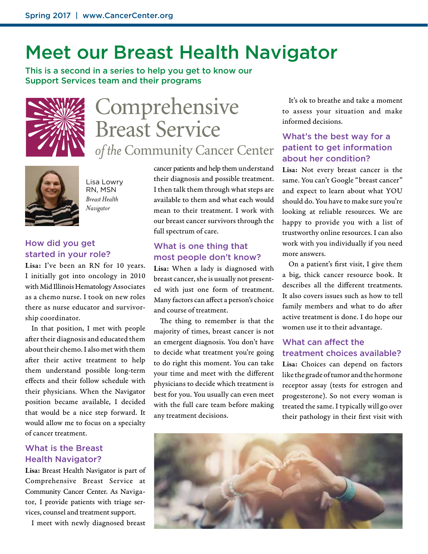# Meet our Breast Health Navigator

This is a second in a series to help you get to know our Support Services team and their programs



# Comprehensive **Breast Service** of the Community Cancer Center



Lisa Lowry RN, MSN *Breast Health Navigator*

#### How did you get started in your role?

Lisa: I've been an RN for 10 years. I initially got into oncology in 2010 with Mid Illinois Hematology Associates as a chemo nurse. I took on new roles there as nurse educator and survivorship coordinator.

In that position, I met with people after their diagnosis and educated them about their chemo. I also met with them after their active treatment to help them understand possible long-term effects and their follow schedule with their physicians. When the Navigator position became available, I decided that would be a nice step forward. It would allow me to focus on a specialty of cancer treatment.

#### What is the Breast Health Navigator?

Lisa: Breast Health Navigator is part of Comprehensive Breast Service at Community Cancer Center. As Navigator, I provide patients with triage services, counsel and treatment support.

I meet with newly diagnosed breast

cancer patients and help them understand their diagnosis and possible treatment. I then talk them through what steps are available to them and what each would mean to their treatment. I work with our breast cancer survivors through the full spectrum of care.

#### What is one thing that most people don't know?

Lisa: When a lady is diagnosed with breast cancer, she is usually not presented with just one form of treatment. Many factors can affect a person's choice and course of treatment.

The thing to remember is that the majority of times, breast cancer is not an emergent diagnosis. You don't have to decide what treatment you're going to do right this moment. You can take your time and meet with the different physicians to decide which treatment is best for you. You usually can even meet with the full care team before making any treatment decisions.

It's ok to breathe and take a moment to assess your situation and make informed decisions.

#### What's the best way for a patient to get information about her condition?

Lisa: Not every breast cancer is the same. You can't Google "breast cancer" and expect to learn about what YOU should do. You have to make sure you're looking at reliable resources. We are happy to provide you with a list of trustworthy online resources. I can also work with you individually if you need more answers.

On a patient's first visit, I give them a big, thick cancer resource book. It describes all the different treatments. It also covers issues such as how to tell family members and what to do after active treatment is done. I do hope our women use it to their advantage.

#### What can affect the treatment choices available?

Lisa: Choices can depend on factors like the grade of tumor and the hormone receptor assay (tests for estrogen and progesterone). So not every woman is treated the same. I typically will go over their pathology in their first visit with

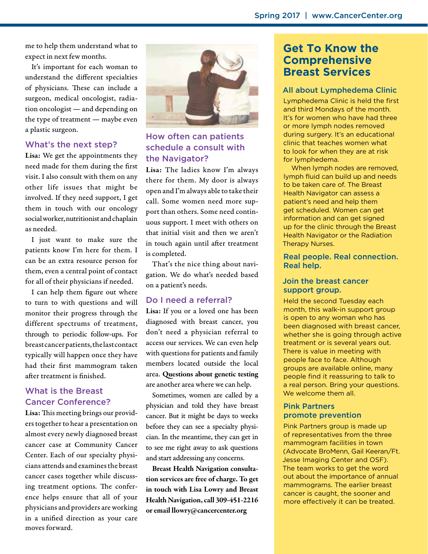me to help them understand what to expect in next few months.

It's important for each woman to understand the different specialties of physicians. These can include a surgeon, medical oncologist, radiation oncologist — and depending on the type of treatment — maybe even a plastic surgeon.

#### What's the next step?

Lisa: We get the appointments they need made for them during the first visit. I also consult with them on any other life issues that might be involved. If they need support, I get them in touch with our oncology social worker, nutritionist and chaplain as needed.

I just want to make sure the patients know I'm here for them. I can be an extra resource person for them, even a central point of contact for all of their physicians if needed.

I can help them figure out where to turn to with questions and will monitor their progress through the different spectrums of treatment, through to periodic follow-ups. For breast cancer patients, the last contact typically will happen once they have had their first mammogram taken after treatment is finished.

#### What is the Breast Cancer Conference?

Lisa: This meeting brings our providers together to hear a presentation on almost every newly diagnosed breast cancer case at Community Cancer Center. Each of our specialty physicians attends and examines the breast cancer cases together while discussing treatment options. The conference helps ensure that all of your physicians and providers are working in a unified direction as your care moves forward.



#### How often can patients schedule a consult with the Navigator?

Lisa: The ladies know I'm always there for them. My door is always open and I'm always able to take their call. Some women need more support than others. Some need continuous support. I meet with others on that initial visit and then we aren't in touch again until after treatment is completed.

That's the nice thing about navigation. We do what's needed based on a patient's needs.

#### Do I need a referral?

Lisa: If you or a loved one has been diagnosed with breast cancer, you don't need a physician referral to access our services. We can even help with questions for patients and family members located outside the local area. Questions about genetic testing are another area where we can help.

Sometimes, women are called by a physician and told they have breast cancer. But it might be days to weeks before they can see a specialty physician. In the meantime, they can get in to see me right away to ask questions and start addressing any concerns.

Breast Health Navigation consultation services are free of charge. To get in touch with Lisa Lowry and Breast Health Navigation, call 309-451-2216 or email llowry@cancercenter.org

#### **Get To Know the Comprehensive Breast Services**

#### All about Lymphedema Clinic

Lymphedema Clinic is held the first and third Mondays of the month. It's for women who have had three or more lymph nodes removed during surgery. It's an educational clinic that teaches women what to look for when they are at risk for lymphedema.

When lymph nodes are removed, lymph fluid can build up and needs to be taken care of. The Breast Health Navigator can assess a patient's need and help them get scheduled. Women can get information and can get signed up for the clinic through the Breast Health Navigator or the Radiation Therapy Nurses.

#### Real people. Real connection. Real help.

#### Join the breast cancer support group.

Held the second Tuesday each month, this walk-in support group is open to any woman who has been diagnosed with breast cancer, whether she is going through active treatment or is several years out. There is value in meeting with people face to face. Although groups are available online, many people find it reassuring to talk to a real person. Bring your questions. We welcome them all.

#### Pink Partners promote prevention

Pink Partners group is made up of representatives from the three mammogram facilities in town (Advocate BroMenn, Gail Keeran/Ft. Jesse Imaging Center and OSF). The team works to get the word out about the importance of annual mammograms. The earlier breast cancer is caught, the sooner and more effectively it can be treated.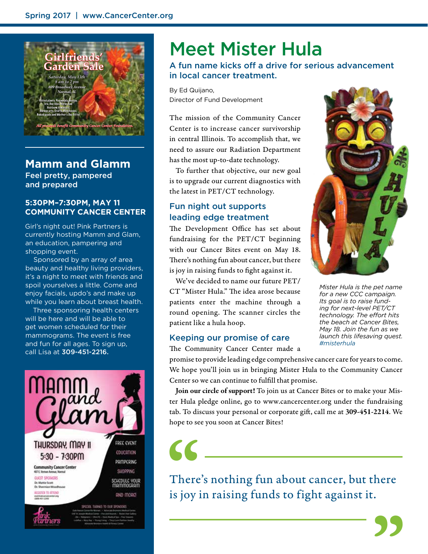

#### **Mamm and Glamm**

Feel pretty, pampered and prepared

#### **5:30PM–7:30PM, MAY 11 COMMUNITY CANCER CENTER**

Girl's night out! Pink Partners is currently hosting Mamm and Glam, an education, pampering and shopping event.

Sponsored by an array of area beauty and healthy living providers, it's a night to meet with friends and spoil yourselves a little. Come and enjoy facials, updo's and make up while you learn about breast health.

Three sponsoring health centers will be here and will be able to get women scheduled for their mammograms. The event is free and fun for all ages. To sign up, call Lisa at 309-451-2216.



## Meet Mister Hula

A fun name kicks off a drive for serious advancement in local cancer treatment.

By Ed Quijano, Director of Fund Development

The mission of the Community Cancer Center is to increase cancer survivorship in central Illinois. To accomplish that, we need to assure our Radiation Department has the most up-to-date technology.

To further that objective, our new goal is to upgrade our current diagnostics with the latest in PET/CT technology.

#### Fun night out supports leading edge treatment

The Development Office has set about fundraising for the PET/CT beginning with our Cancer Bites event on May 18. There's nothing fun about cancer, but there is joy in raising funds to fight against it.

We've decided to name our future PET/ CT "Mister Hula." The idea arose because patients enter the machine through a round opening. The scanner circles the patient like a hula hoop.

#### Keeping our promise of care

The Community Cancer Center made a

promise to provide leading edge comprehensive cancer care for years to come. We hope you'll join us in bringing Mister Hula to the Community Cancer Center so we can continue to fulfill that promise.

Join our circle of support! To join us at Cancer Bites or to make your Mister Hula pledge online, go to www.cancercenter.org under the fundraising tab. To discuss your personal or corporate gift, call me at 309-451-2214. We hope to see you soon at Cancer Bites!

 $\epsilon$ 

There's nothing fun about cancer, but there is joy in raising funds to fight against it.



*Mister Hula is the pet name for a new CCC campaign. Its goal is to raise funding for next-level PET/CT technology. The effort hits the beach at Cancer Bites, May 18. Join the fun as we launch this lifesaving quest. #misterhula*

**SS**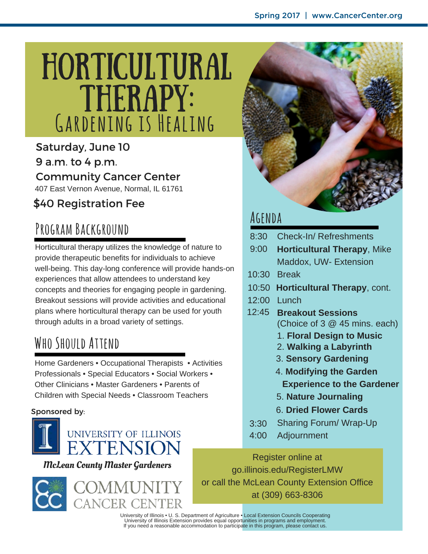# HORTICULTURAL **THERAPY: Gardening is Healing**

Saturday, June 10 9 a.m. to 4 p.m. **Community Cancer Center** 407 East Vernon Avenue, Normal, IL 61761

## \$40 Registration Fee

# **Program Background**

Horticultural therapy utilizes the knowledge of nature to provide therapeutic benefits for individuals to achieve well-being. This day-long conference will provide hands-on experiences that allow attendees to understand key concepts and theories for engaging people in gardening. Breakout sessions will provide activities and educational plans where horticultural therapy can be used for youth through adults in a broad variety of settings.

## **Who Should Attend**

Home Gardeners • Occupational Therapists • Activities Professionals • Special Educators • Social Workers • Other Clinicians • Master Gardeners • Parents of Children with Special Needs • Classroom Teachers

#### Sponsored by:



#### McLean County Master Gardeners







## **Agenda**

- 8:30 Check-In/ Refreshments
- 9:00 **Horticultural Therapy**, Mike Maddox, UW- Extension
- 10:30 Break
- 10:50 **Horticultural Therapy**, cont.
- 12:00 Lunch
- 12:45 **Breakout Sessions** (Choice of 3  $@$  45 mins. each)
	- 1. **Floral Design to Music**
	- 2. **Walking a Labyrinth**
	- 3. **Sensory Gardening**
	- 4. **Modifying the Garden Experience to the Gardener**
	- 5. **Nature Journaling**
	- 6. **Dried Flower Cards**
- 3:30 Sharing Forum/ Wrap-Up
- 4:00 Adjournment

Register online at go.illinois.edu/RegisterLMW or call the McLean County Extension Office at (309) 663-8306

University of Illinois • U. S. Department of Agriculture • Local Extension Councils Cooperating<br>University of Illinois Extension provides equal opportunities in programs and employment.<br>If you need a reasonable accommodati